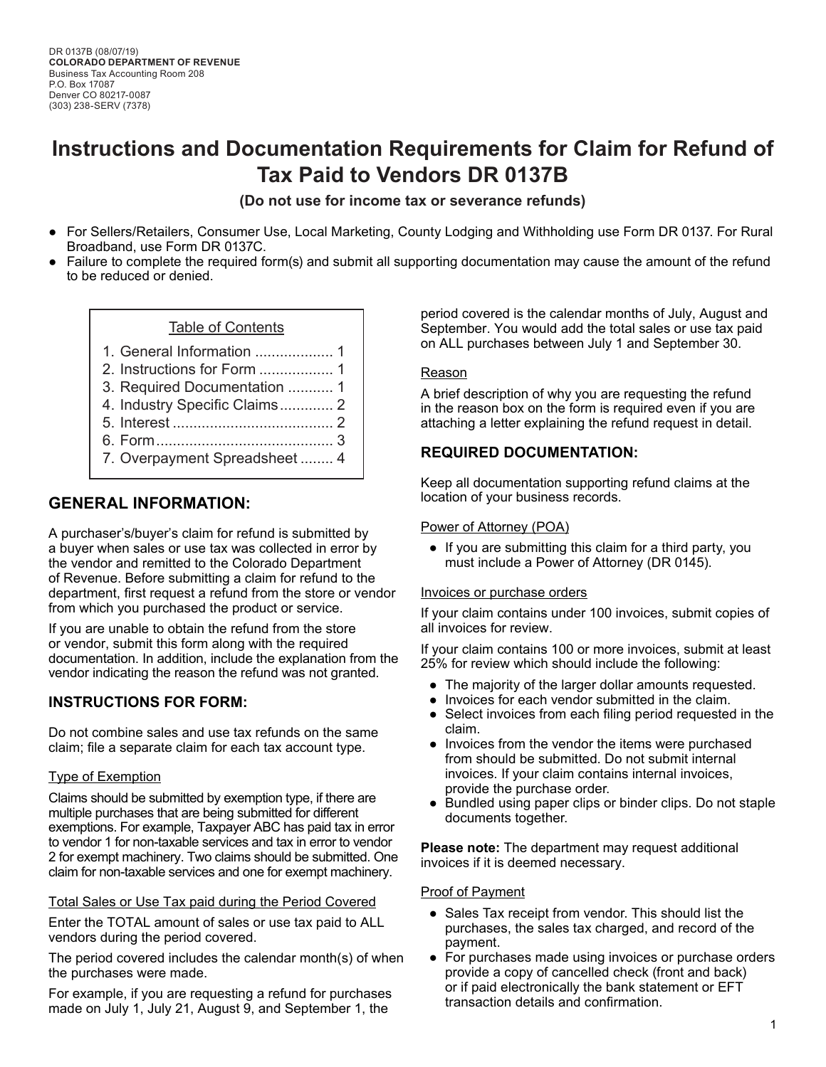# **Instructions and Documentation Requirements for Claim for Refund of Tax Paid to Vendors DR 0137B**

**(Do not use for income tax or severance refunds)** 

- For Sellers/Retailers, Consumer Use, Local Marketing, County Lodging and Withholding use Form DR 0137. For Rural Broadband, use Form DR 0137C.
- Failure to complete the required form(s) and submit all supporting documentation may cause the amount of the refund to be reduced or denied.

### Table of Contents

- 1. [General Information](#page-0-0) ................... 1
- 2. [Instructions for Form](#page-0-1) .................. 1
- 3. [Required Documentation](#page-0-2) ........... 1
- 4. [Industry Specific Claims](#page-1-0)............. 2
- 5. Interest [.......................................](#page-1-1) 2
- 6. [Form...........................................](#page-2-0) 3
- 7. [Overpayment Spreadsheet](#page-3-0) ........ 4

## <span id="page-0-0"></span>**GENERAL INFORMATION:**

A purchaser's/buyer's claim for refund is submitted by a buyer when sales or use tax was collected in error by the vendor and remitted to the Colorado Department of Revenue. Before submitting a claim for refund to the department, first request a refund from the store or vendor from which you purchased the product or service.

If you are unable to obtain the refund from the store or vendor, submit this form along with the required documentation. In addition, include the explanation from the vendor indicating the reason the refund was not granted.

## <span id="page-0-1"></span>**INSTRUCTIONS FOR FORM:**

Do not combine sales and use tax refunds on the same claim; file a separate claim for each tax account type.

### Type of Exemption

Claims should be submitted by exemption type, if there are multiple purchases that are being submitted for different exemptions. For example, Taxpayer ABC has paid tax in error to vendor 1 for non-taxable services and tax in error to vendor 2 for exempt machinery. Two claims should be submitted. One claim for non-taxable services and one for exempt machinery.

### Total Sales or Use Tax paid during the Period Covered

Enter the TOTAL amount of sales or use tax paid to ALL vendors during the period covered.

The period covered includes the calendar month(s) of when the purchases were made.

For example, if you are requesting a refund for purchases made on July 1, July 21, August 9, and September 1, the

period covered is the calendar months of July, August and September. You would add the total sales or use tax paid on ALL purchases between July 1 and September 30.

### Reason

A brief description of why you are requesting the refund in the reason box on the form is required even if you are attaching a letter explaining the refund request in detail.

## <span id="page-0-2"></span>**REQUIRED DOCUMENTATION:**

Keep all documentation supporting refund claims at the location of your business records.

### Power of Attorney (POA)

● If you are submitting this claim for a third party, you must include a Power of Attorney (DR 0145).

### Invoices or purchase orders

If your claim contains under 100 invoices, submit copies of all invoices for review.

If your claim contains 100 or more invoices, submit at least 25% for review which should include the following:

- The majority of the larger dollar amounts requested.
- Invoices for each vendor submitted in the claim.
- Select invoices from each filing period requested in the claim.
- Invoices from the vendor the items were purchased from should be submitted. Do not submit internal invoices. If your claim contains internal invoices, provide the purchase order.
- Bundled using paper clips or binder clips. Do not staple documents together.

**Please note:** The department may request additional invoices if it is deemed necessary.

### Proof of Payment

- Sales Tax receipt from vendor. This should list the purchases, the sales tax charged, and record of the payment.
- For purchases made using invoices or purchase orders provide a copy of cancelled check (front and back) or if paid electronically the bank statement or EFT transaction details and confirmation.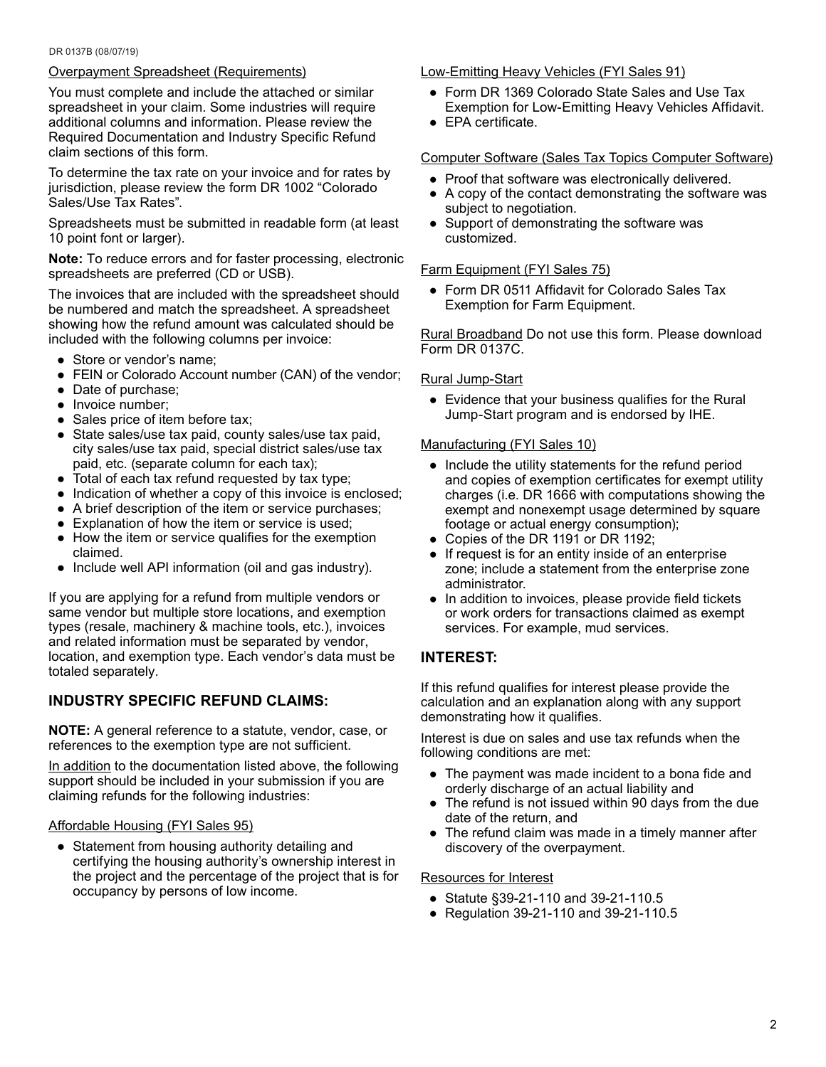#### DR 0137B (08/07/19)

## Overpayment Spreadsheet (Requirements)

You must complete and include the attached or similar spreadsheet in your claim. Some industries will require additional columns and information. Please review the Required Documentation and Industry Specific Refund claim sections of this form.

To determine the tax rate on your invoice and for rates by jurisdiction, please review the form DR 1002 "Colorado Sales/Use Tax Rates".

Spreadsheets must be submitted in readable form (at least 10 point font or larger).

**Note:** To reduce errors and for faster processing, electronic spreadsheets are preferred (CD or USB).

The invoices that are included with the spreadsheet should be numbered and match the spreadsheet. A spreadsheet showing how the refund amount was calculated should be included with the following columns per invoice:

- Store or vendor's name;
- FEIN or Colorado Account number (CAN) of the vendor;
- Date of purchase;
- Invoice number;
- Sales price of item before tax;
- State sales/use tax paid, county sales/use tax paid, city sales/use tax paid, special district sales/use tax paid, etc. (separate column for each tax);
- Total of each tax refund requested by tax type;
- Indication of whether a copy of this invoice is enclosed;
- A brief description of the item or service purchases;
- Explanation of how the item or service is used;
- How the item or service qualifies for the exemption claimed.
- Include well API information (oil and gas industry).

If you are applying for a refund from multiple vendors or same vendor but multiple store locations, and exemption types (resale, machinery & machine tools, etc.), invoices and related information must be separated by vendor, location, and exemption type. Each vendor's data must be totaled separately.

## <span id="page-1-0"></span>**INDUSTRY SPECIFIC REFUND CLAIMS:**

**NOTE:** A general reference to a statute, vendor, case, or references to the exemption type are not sufficient.

In addition to the documentation listed above, the following support should be included in your submission if you are claiming refunds for the following industries:

## Affordable Housing (FYI Sales 95)

• Statement from housing authority detailing and certifying the housing authority's ownership interest in the project and the percentage of the project that is for occupancy by persons of low income.

### Low-Emitting Heavy Vehicles (FYI Sales 91)

- Form DR 1369 Colorado State Sales and Use Tax Exemption for Low-Emitting Heavy Vehicles Affidavit.
- EPA certificate.

### Computer Software (Sales Tax Topics Computer Software)

- Proof that software was electronically delivered.
- A copy of the contact demonstrating the software was subject to negotiation.
- Support of demonstrating the software was customized.

## Farm Equipment (FYI Sales 75)

● Form DR 0511 Affidavit for Colorado Sales Tax Exemption for Farm Equipment.

Rural Broadband Do not use this form. Please download Form DR 0137C.

### Rural Jump-Start

● Evidence that your business qualifies for the Rural Jump-Start program and is endorsed by IHE.

### Manufacturing (FYI Sales 10)

- Include the utility statements for the refund period and copies of exemption certificates for exempt utility charges (i.e. DR 1666 with computations showing the exempt and nonexempt usage determined by square footage or actual energy consumption);
- Copies of the DR 1191 or DR 1192;
- If request is for an entity inside of an enterprise zone; include a statement from the enterprise zone administrator.
- In addition to invoices, please provide field tickets or work orders for transactions claimed as exempt services. For example, mud services.

## <span id="page-1-1"></span>**INTEREST:**

If this refund qualifies for interest please provide the calculation and an explanation along with any support demonstrating how it qualifies.

Interest is due on sales and use tax refunds when the following conditions are met:

- The payment was made incident to a bona fide and orderly discharge of an actual liability and
- The refund is not issued within 90 days from the due date of the return, and
- The refund claim was made in a timely manner after discovery of the overpayment.

## Resources for Interest

- Statute §39-21-110 and 39-21-110.5
- Regulation 39-21-110 and 39-21-110.5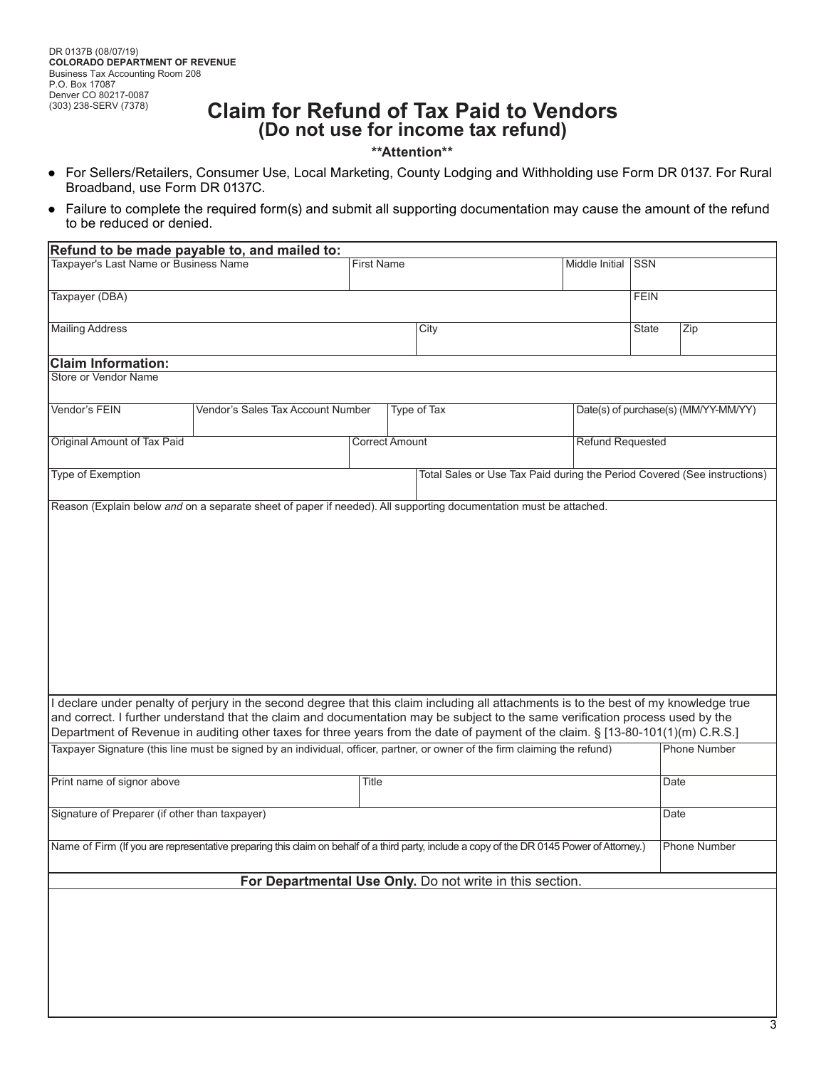## **Claim for Refund of Tax Paid to Vendors (Do not use for income tax refund)**

<span id="page-2-0"></span>**\*\*Attention\*\***

- For Sellers/Retailers, Consumer Use, Local Marketing, County Lodging and Withholding use Form DR 0137. For Rural Broadband, use Form DR 0137C.
- Failure to complete the required form(s) and submit all supporting documentation may cause the amount of the refund to be reduced or denied.

| Refund to be made payable to, and mailed to:                                                                                                                                                                                                                                                                                                                                                                                                                                                                                                                    |                                                                                                                                            |                       |                   |                                                                          |  |                                      |                     |  |  |  |
|-----------------------------------------------------------------------------------------------------------------------------------------------------------------------------------------------------------------------------------------------------------------------------------------------------------------------------------------------------------------------------------------------------------------------------------------------------------------------------------------------------------------------------------------------------------------|--------------------------------------------------------------------------------------------------------------------------------------------|-----------------------|-------------------|--------------------------------------------------------------------------|--|--------------------------------------|---------------------|--|--|--|
| <b>Taxpayer's Last Name or Business Name</b>                                                                                                                                                                                                                                                                                                                                                                                                                                                                                                                    |                                                                                                                                            |                       | <b>First Name</b> |                                                                          |  | <b>SSN</b>                           |                     |  |  |  |
| Taxpayer (DBA)                                                                                                                                                                                                                                                                                                                                                                                                                                                                                                                                                  |                                                                                                                                            |                       |                   |                                                                          |  | <b>FEIN</b>                          |                     |  |  |  |
| <b>Mailing Address</b>                                                                                                                                                                                                                                                                                                                                                                                                                                                                                                                                          |                                                                                                                                            |                       |                   | City                                                                     |  | <b>State</b>                         | Zip                 |  |  |  |
| <b>Claim Information:</b>                                                                                                                                                                                                                                                                                                                                                                                                                                                                                                                                       |                                                                                                                                            |                       |                   |                                                                          |  |                                      |                     |  |  |  |
| Store or Vendor Name                                                                                                                                                                                                                                                                                                                                                                                                                                                                                                                                            |                                                                                                                                            |                       |                   |                                                                          |  |                                      |                     |  |  |  |
| Vendor's FEIN                                                                                                                                                                                                                                                                                                                                                                                                                                                                                                                                                   | Vendor's Sales Tax Account Number                                                                                                          |                       |                   | Type of Tax                                                              |  | Date(s) of purchase(s) (MM/YY-MM/YY) |                     |  |  |  |
| Original Amount of Tax Paid                                                                                                                                                                                                                                                                                                                                                                                                                                                                                                                                     |                                                                                                                                            | <b>Correct Amount</b> |                   |                                                                          |  | <b>Refund Requested</b>              |                     |  |  |  |
| Type of Exemption                                                                                                                                                                                                                                                                                                                                                                                                                                                                                                                                               |                                                                                                                                            |                       |                   | Total Sales or Use Tax Paid during the Period Covered (See instructions) |  |                                      |                     |  |  |  |
| Reason (Explain below and on a separate sheet of paper if needed). All supporting documentation must be attached.                                                                                                                                                                                                                                                                                                                                                                                                                                               |                                                                                                                                            |                       |                   |                                                                          |  |                                      |                     |  |  |  |
| I declare under penalty of perjury in the second degree that this claim including all attachments is to the best of my knowledge true<br>and correct. I further understand that the claim and documentation may be subject to the same verification process used by the<br>Department of Revenue in auditing other taxes for three years from the date of payment of the claim. § [13-80-101(1)(m) C.R.S.]<br>Taxpayer Signature (this line must be signed by an individual, officer, partner, or owner of the firm claiming the refund)<br><b>Phone Number</b> |                                                                                                                                            |                       |                   |                                                                          |  |                                      |                     |  |  |  |
| Print name of signor above                                                                                                                                                                                                                                                                                                                                                                                                                                                                                                                                      |                                                                                                                                            | <b>Title</b>          |                   |                                                                          |  | Date                                 |                     |  |  |  |
| Signature of Preparer (if other than taxpayer)                                                                                                                                                                                                                                                                                                                                                                                                                                                                                                                  |                                                                                                                                            |                       |                   |                                                                          |  | Date                                 |                     |  |  |  |
|                                                                                                                                                                                                                                                                                                                                                                                                                                                                                                                                                                 | Name of Firm (If you are representative preparing this claim on behalf of a third party, include a copy of the DR 0145 Power of Attorney.) |                       |                   |                                                                          |  |                                      | <b>Phone Number</b> |  |  |  |
| For Departmental Use Only. Do not write in this section.                                                                                                                                                                                                                                                                                                                                                                                                                                                                                                        |                                                                                                                                            |                       |                   |                                                                          |  |                                      |                     |  |  |  |
|                                                                                                                                                                                                                                                                                                                                                                                                                                                                                                                                                                 |                                                                                                                                            |                       |                   |                                                                          |  |                                      |                     |  |  |  |